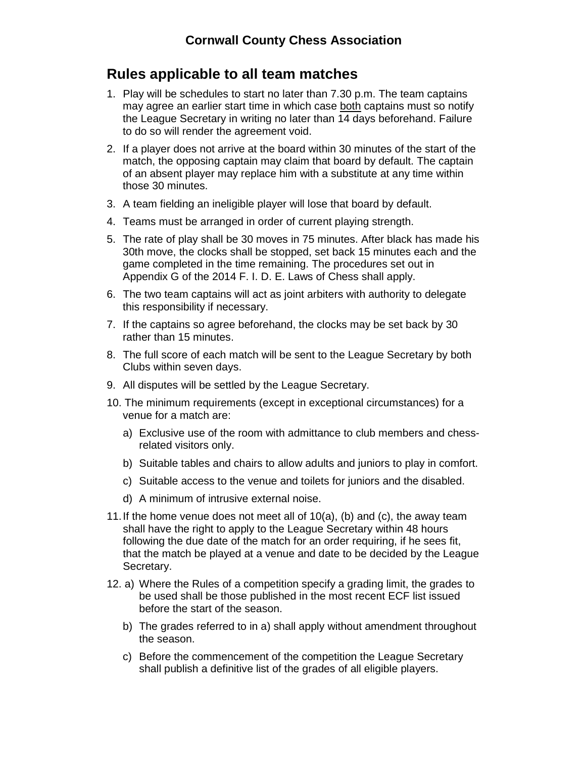## **Rules applicable to all team matches**

- 1. Play will be schedules to start no later than 7.30 p.m. The team captains may agree an earlier start time in which case both captains must so notify the League Secretary in writing no later than 14 days beforehand. Failure to do so will render the agreement void.
- 2. If a player does not arrive at the board within 30 minutes of the start of the match, the opposing captain may claim that board by default. The captain of an absent player may replace him with a substitute at any time within those 30 minutes.
- 3. A team fielding an ineligible player will lose that board by default.
- 4. Teams must be arranged in order of current playing strength.
- 5. The rate of play shall be 30 moves in 75 minutes. After black has made his 30th move, the clocks shall be stopped, set back 15 minutes each and the game completed in the time remaining. The procedures set out in Appendix G of the 2014 F. I. D. E. Laws of Chess shall apply.
- 6. The two team captains will act as joint arbiters with authority to delegate this responsibility if necessary.
- 7. If the captains so agree beforehand, the clocks may be set back by 30 rather than 15 minutes.
- 8. The full score of each match will be sent to the League Secretary by both Clubs within seven days.
- 9. All disputes will be settled by the League Secretary.
- 10. The minimum requirements (except in exceptional circumstances) for a venue for a match are:
	- a) Exclusive use of the room with admittance to club members and chessrelated visitors only.
	- b) Suitable tables and chairs to allow adults and juniors to play in comfort.
	- c) Suitable access to the venue and toilets for juniors and the disabled.
	- d) A minimum of intrusive external noise.
- 11.If the home venue does not meet all of 10(a), (b) and (c), the away team shall have the right to apply to the League Secretary within 48 hours following the due date of the match for an order requiring, if he sees fit, that the match be played at a venue and date to be decided by the League Secretary.
- 12. a) Where the Rules of a competition specify a grading limit, the grades to be used shall be those published in the most recent ECF list issued before the start of the season.
	- b) The grades referred to in a) shall apply without amendment throughout the season.
	- c) Before the commencement of the competition the League Secretary shall publish a definitive list of the grades of all eligible players.